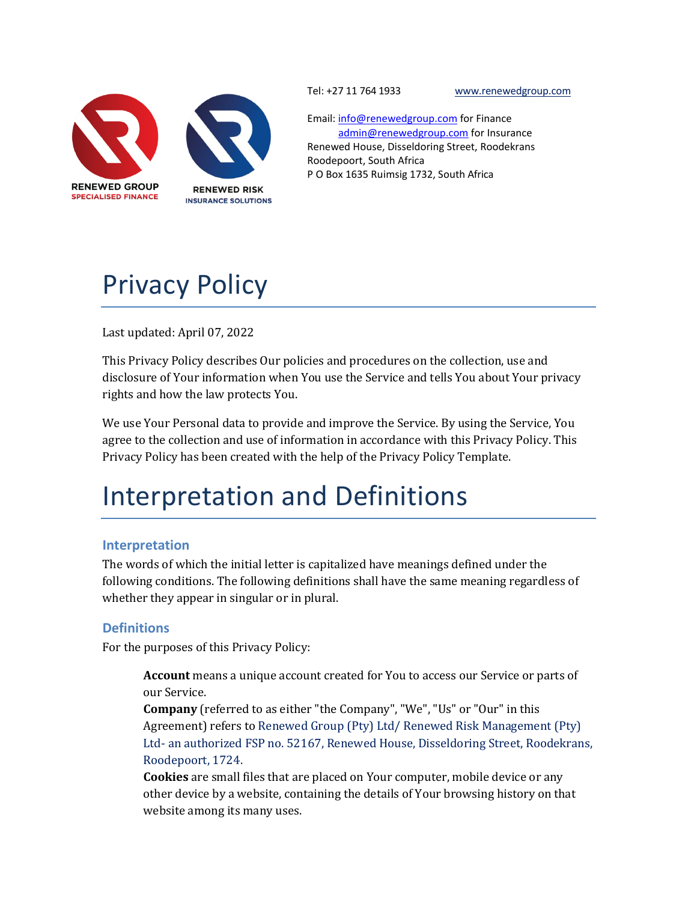

Tel: +27 11 764 1933 [www.renewedgroup.com](http://www.renewedgroup.com/)

Email: [info@renewedgroup.com](mailto:info@renewedgroup.com) for Finance [admin@renewedgroup.com](mailto:admin@renewedgroup.com) for Insurance Renewed House, Disseldoring Street, Roodekrans Roodepoort, South Africa P O Box 1635 Ruimsig 1732, South Africa

# Privacy Policy

Last updated: April 07, 2022

This Privacy Policy describes Our policies and procedures on the collection, use and disclosure of Your information when You use the Service and tells You about Your privacy rights and how the law protects You.

We use Your Personal data to provide and improve the Service. By using the Service, You agree to the collection and use of information in accordance with this Privacy Policy. This Privacy Policy has been created with the help of th[e Privacy Policy Template.](https://www.freeprivacypolicy.com/blog/sample-privacy-policy-template/)

## Interpretation and Definitions

## **Interpretation**

The words of which the initial letter is capitalized have meanings defined under the following conditions. The following definitions shall have the same meaning regardless of whether they appear in singular or in plural.

## **Definitions**

For the purposes of this Privacy Policy:

**Account** means a unique account created for You to access our Service or parts of our Service.

**Company** (referred to as either "the Company", "We", "Us" or "Our" in this Agreement) refers to Renewed Group (Pty) Ltd/ Renewed Risk Management (Pty) Ltd- an authorized FSP no. 52167, Renewed House, Disseldoring Street, Roodekrans, Roodepoort, 1724.

**Cookies** are small files that are placed on Your computer, mobile device or any other device by a website, containing the details of Your browsing history on that website among its many uses.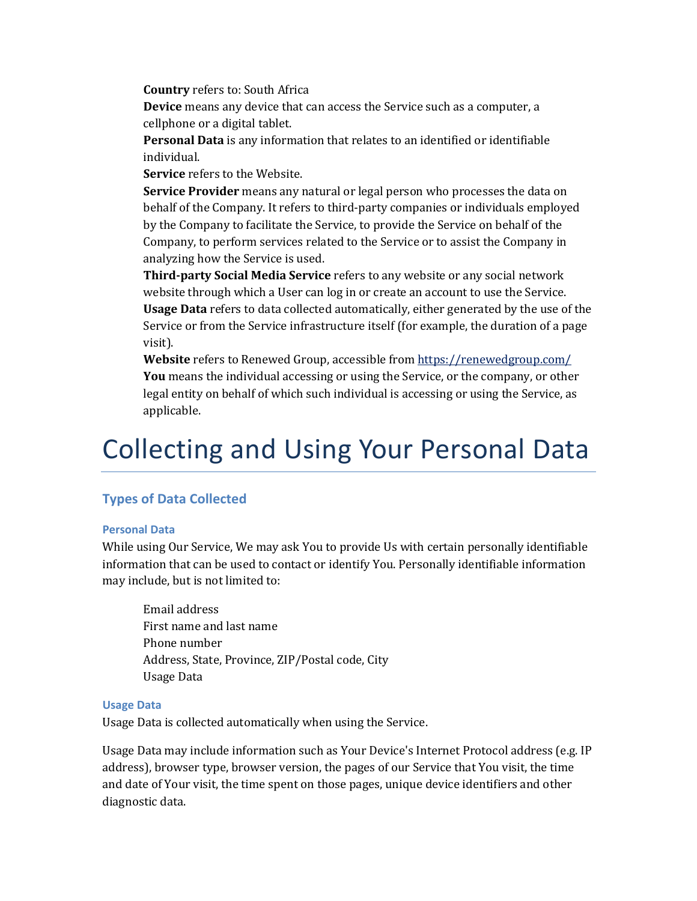**Country** refers to: South Africa

**Device** means any device that can access the Service such as a computer, a cellphone or a digital tablet.

**Personal Data** is any information that relates to an identified or identifiable individual.

**Service** refers to the Website.

**Service Provider** means any natural or legal person who processes the data on behalf of the Company. It refers to third-party companies or individuals employed by the Company to facilitate the Service, to provide the Service on behalf of the Company, to perform services related to the Service or to assist the Company in analyzing how the Service is used.

**Third-party Social Media Service** refers to any website or any social network website through which a User can log in or create an account to use the Service. **Usage Data** refers to data collected automatically, either generated by the use of the Service or from the Service infrastructure itself (for example, the duration of a page visit).

**Website** refers to Renewed Group, accessible from<https://renewedgroup.com/> **You** means the individual accessing or using the Service, or the company, or other legal entity on behalf of which such individual is accessing or using the Service, as applicable.

# Collecting and Using Your Personal Data

## **Types of Data Collected**

#### **Personal Data**

While using Our Service, We may ask You to provide Us with certain personally identifiable information that can be used to contact or identify You. Personally identifiable information may include, but is not limited to:

Email address First name and last name Phone number Address, State, Province, ZIP/Postal code, City Usage Data

#### **Usage Data**

Usage Data is collected automatically when using the Service.

Usage Data may include information such as Your Device's Internet Protocol address (e.g. IP address), browser type, browser version, the pages of our Service that You visit, the time and date of Your visit, the time spent on those pages, unique device identifiers and other diagnostic data.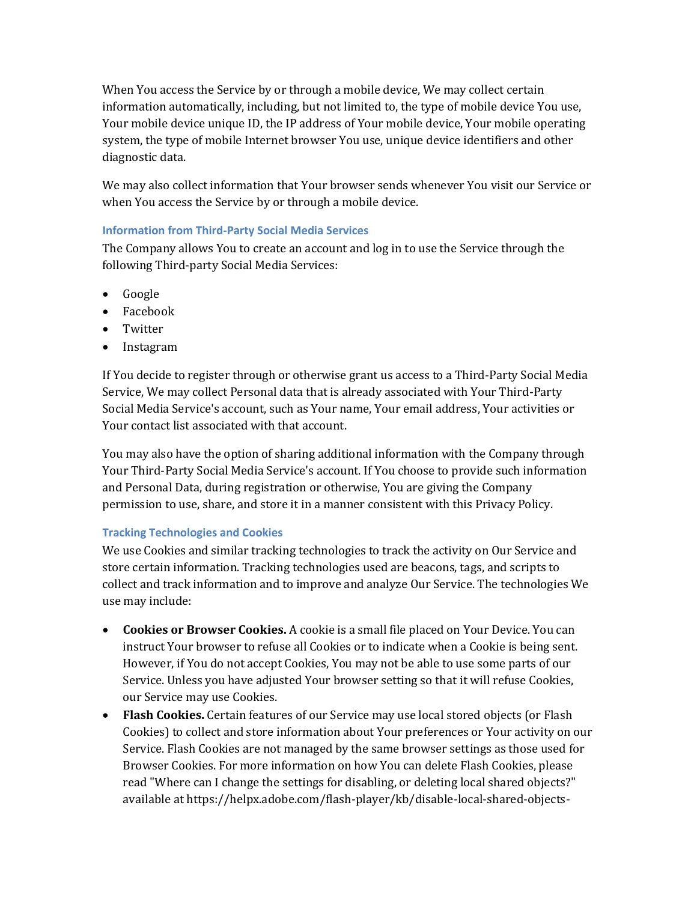When You access the Service by or through a mobile device, We may collect certain information automatically, including, but not limited to, the type of mobile device You use, Your mobile device unique ID, the IP address of Your mobile device, Your mobile operating system, the type of mobile Internet browser You use, unique device identifiers and other diagnostic data.

We may also collect information that Your browser sends whenever You visit our Service or when You access the Service by or through a mobile device.

### **Information from Third-Party Social Media Services**

The Company allows You to create an account and log in to use the Service through the following Third-party Social Media Services:

- Google
- Facebook
- Twitter
- Instagram

If You decide to register through or otherwise grant us access to a Third-Party Social Media Service, We may collect Personal data that is already associated with Your Third-Party Social Media Service's account, such as Your name, Your email address, Your activities or Your contact list associated with that account.

You may also have the option of sharing additional information with the Company through Your Third-Party Social Media Service's account. If You choose to provide such information and Personal Data, during registration or otherwise, You are giving the Company permission to use, share, and store it in a manner consistent with this Privacy Policy.

### **Tracking Technologies and Cookies**

We use Cookies and similar tracking technologies to track the activity on Our Service and store certain information. Tracking technologies used are beacons, tags, and scripts to collect and track information and to improve and analyze Our Service. The technologies We use may include:

- **Cookies or Browser Cookies.** A cookie is a small file placed on Your Device. You can instruct Your browser to refuse all Cookies or to indicate when a Cookie is being sent. However, if You do not accept Cookies, You may not be able to use some parts of our Service. Unless you have adjusted Your browser setting so that it will refuse Cookies, our Service may use Cookies.
- **Flash Cookies.** Certain features of our Service may use local stored objects (or Flash Cookies) to collect and store information about Your preferences or Your activity on our Service. Flash Cookies are not managed by the same browser settings as those used for Browser Cookies. For more information on how You can delete Flash Cookies, please read "Where can I change the settings for disabling, or deleting local shared objects?" available at [https://helpx.adobe.com/flash-player/kb/disable-local-shared-objects-](https://helpx.adobe.com/flash-player/kb/disable-local-shared-objects-flash.html#main_Where_can_I_change_the_settings_for_disabling__or_deleting_local_shared_objects_)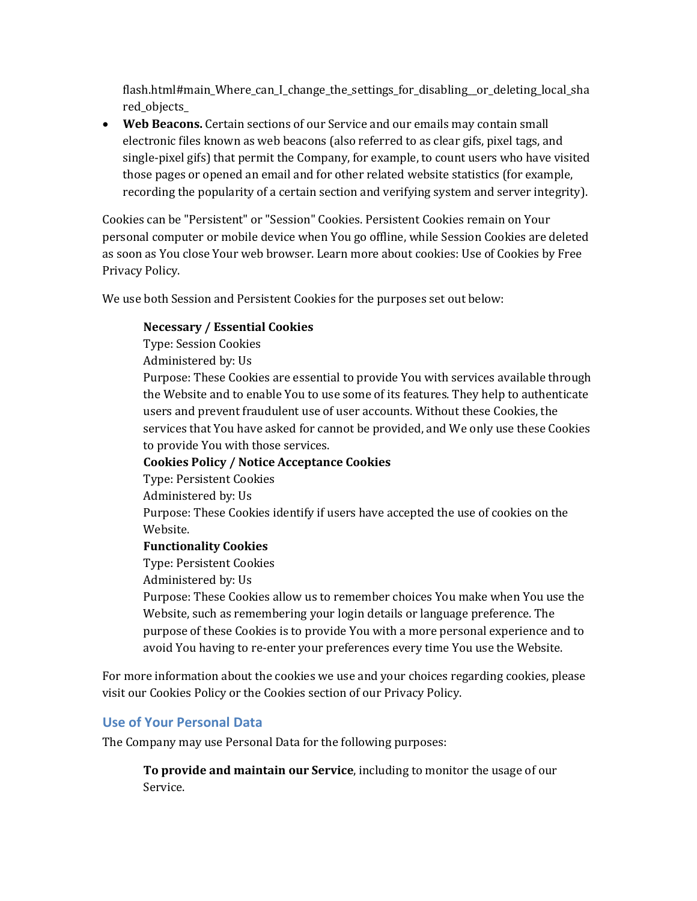flash.html#main\_Where\_can\_I\_change\_the\_settings\_for\_disabling\_or\_deleting\_local\_sha [red\\_objects\\_](https://helpx.adobe.com/flash-player/kb/disable-local-shared-objects-flash.html#main_Where_can_I_change_the_settings_for_disabling__or_deleting_local_shared_objects_)

• **Web Beacons.** Certain sections of our Service and our emails may contain small electronic files known as web beacons (also referred to as clear gifs, pixel tags, and single-pixel gifs) that permit the Company, for example, to count users who have visited those pages or opened an email and for other related website statistics (for example, recording the popularity of a certain section and verifying system and server integrity).

Cookies can be "Persistent" or "Session" Cookies. Persistent Cookies remain on Your personal computer or mobile device when You go offline, while Session Cookies are deleted as soon as You close Your web browser. Learn more about cookies: [Use of Cookies by Free](https://www.freeprivacypolicy.com/blog/sample-privacy-policy-template/#Use_Of_Cookies_And_Tracking)  [Privacy Policy.](https://www.freeprivacypolicy.com/blog/sample-privacy-policy-template/#Use_Of_Cookies_And_Tracking)

We use both Session and Persistent Cookies for the purposes set out below:

### **Necessary / Essential Cookies**

Type: Session Cookies

Administered by: Us

Purpose: These Cookies are essential to provide You with services available through the Website and to enable You to use some of its features. They help to authenticate users and prevent fraudulent use of user accounts. Without these Cookies, the services that You have asked for cannot be provided, and We only use these Cookies to provide You with those services.

## **Cookies Policy / Notice Acceptance Cookies**

Type: Persistent Cookies

Administered by: Us

Purpose: These Cookies identify if users have accepted the use of cookies on the Website.

### **Functionality Cookies**

Type: Persistent Cookies

Administered by: Us

Purpose: These Cookies allow us to remember choices You make when You use the Website, such as remembering your login details or language preference. The purpose of these Cookies is to provide You with a more personal experience and to avoid You having to re-enter your preferences every time You use the Website.

For more information about the cookies we use and your choices regarding cookies, please visit our Cookies Policy or the Cookies section of our Privacy Policy.

## **Use of Your Personal Data**

The Company may use Personal Data for the following purposes:

**To provide and maintain our Service**, including to monitor the usage of our Service.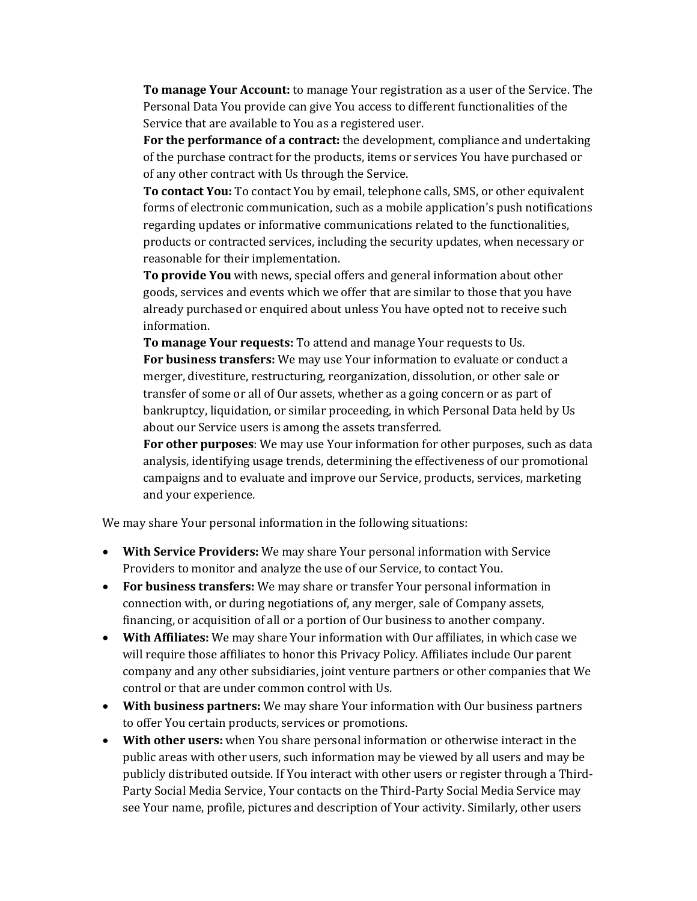**To manage Your Account:** to manage Your registration as a user of the Service. The Personal Data You provide can give You access to different functionalities of the Service that are available to You as a registered user.

**For the performance of a contract:** the development, compliance and undertaking of the purchase contract for the products, items or services You have purchased or of any other contract with Us through the Service.

**To contact You:** To contact You by email, telephone calls, SMS, or other equivalent forms of electronic communication, such as a mobile application's push notifications regarding updates or informative communications related to the functionalities, products or contracted services, including the security updates, when necessary or reasonable for their implementation.

**To provide You** with news, special offers and general information about other goods, services and events which we offer that are similar to those that you have already purchased or enquired about unless You have opted not to receive such information.

**To manage Your requests:** To attend and manage Your requests to Us. **For business transfers:** We may use Your information to evaluate or conduct a merger, divestiture, restructuring, reorganization, dissolution, or other sale or transfer of some or all of Our assets, whether as a going concern or as part of bankruptcy, liquidation, or similar proceeding, in which Personal Data held by Us about our Service users is among the assets transferred.

**For other purposes**: We may use Your information for other purposes, such as data analysis, identifying usage trends, determining the effectiveness of our promotional campaigns and to evaluate and improve our Service, products, services, marketing and your experience.

We may share Your personal information in the following situations:

- **With Service Providers:** We may share Your personal information with Service Providers to monitor and analyze the use of our Service, to contact You.
- **For business transfers:** We may share or transfer Your personal information in connection with, or during negotiations of, any merger, sale of Company assets, financing, or acquisition of all or a portion of Our business to another company.
- **With Affiliates:** We may share Your information with Our affiliates, in which case we will require those affiliates to honor this Privacy Policy. Affiliates include Our parent company and any other subsidiaries, joint venture partners or other companies that We control or that are under common control with Us.
- **With business partners:** We may share Your information with Our business partners to offer You certain products, services or promotions.
- **With other users:** when You share personal information or otherwise interact in the public areas with other users, such information may be viewed by all users and may be publicly distributed outside. If You interact with other users or register through a Third-Party Social Media Service, Your contacts on the Third-Party Social Media Service may see Your name, profile, pictures and description of Your activity. Similarly, other users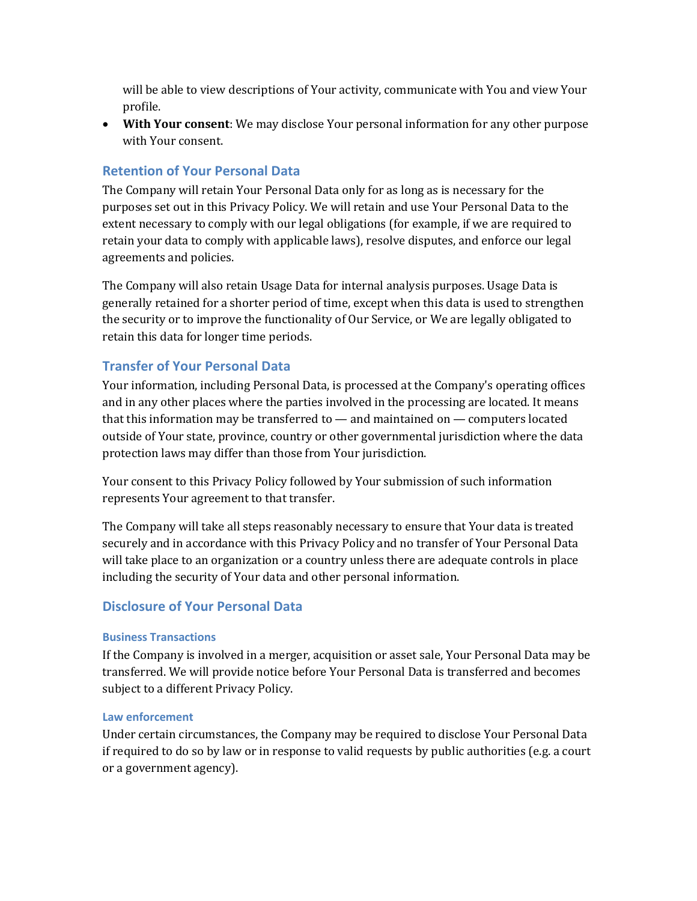will be able to view descriptions of Your activity, communicate with You and view Your profile.

• **With Your consent**: We may disclose Your personal information for any other purpose with Your consent.

### **Retention of Your Personal Data**

The Company will retain Your Personal Data only for as long as is necessary for the purposes set out in this Privacy Policy. We will retain and use Your Personal Data to the extent necessary to comply with our legal obligations (for example, if we are required to retain your data to comply with applicable laws), resolve disputes, and enforce our legal agreements and policies.

The Company will also retain Usage Data for internal analysis purposes. Usage Data is generally retained for a shorter period of time, except when this data is used to strengthen the security or to improve the functionality of Our Service, or We are legally obligated to retain this data for longer time periods.

## **Transfer of Your Personal Data**

Your information, including Personal Data, is processed at the Company's operating offices and in any other places where the parties involved in the processing are located. It means that this information may be transferred to — and maintained on — computers located outside of Your state, province, country or other governmental jurisdiction where the data protection laws may differ than those from Your jurisdiction.

Your consent to this Privacy Policy followed by Your submission of such information represents Your agreement to that transfer.

The Company will take all steps reasonably necessary to ensure that Your data is treated securely and in accordance with this Privacy Policy and no transfer of Your Personal Data will take place to an organization or a country unless there are adequate controls in place including the security of Your data and other personal information.

### **Disclosure of Your Personal Data**

#### **Business Transactions**

If the Company is involved in a merger, acquisition or asset sale, Your Personal Data may be transferred. We will provide notice before Your Personal Data is transferred and becomes subject to a different Privacy Policy.

#### **Law enforcement**

Under certain circumstances, the Company may be required to disclose Your Personal Data if required to do so by law or in response to valid requests by public authorities (e.g. a court or a government agency).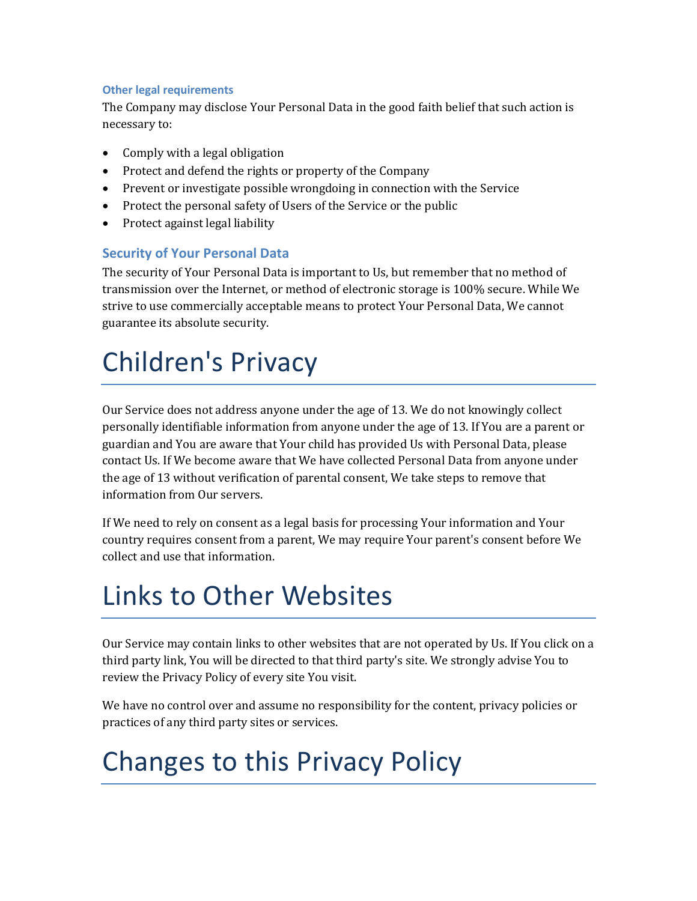#### **Other legal requirements**

The Company may disclose Your Personal Data in the good faith belief that such action is necessary to:

- Comply with a legal obligation
- Protect and defend the rights or property of the Company
- Prevent or investigate possible wrongdoing in connection with the Service
- Protect the personal safety of Users of the Service or the public
- Protect against legal liability

## **Security of Your Personal Data**

The security of Your Personal Data is important to Us, but remember that no method of transmission over the Internet, or method of electronic storage is 100% secure. While We strive to use commercially acceptable means to protect Your Personal Data, We cannot guarantee its absolute security.

# Children's Privacy

Our Service does not address anyone under the age of 13. We do not knowingly collect personally identifiable information from anyone under the age of 13. If You are a parent or guardian and You are aware that Your child has provided Us with Personal Data, please contact Us. If We become aware that We have collected Personal Data from anyone under the age of 13 without verification of parental consent, We take steps to remove that information from Our servers.

If We need to rely on consent as a legal basis for processing Your information and Your country requires consent from a parent, We may require Your parent's consent before We collect and use that information.

## Links to Other Websites

Our Service may contain links to other websites that are not operated by Us. If You click on a third party link, You will be directed to that third party's site. We strongly advise You to review the Privacy Policy of every site You visit.

We have no control over and assume no responsibility for the content, privacy policies or practices of any third party sites or services.

# Changes to this Privacy Policy